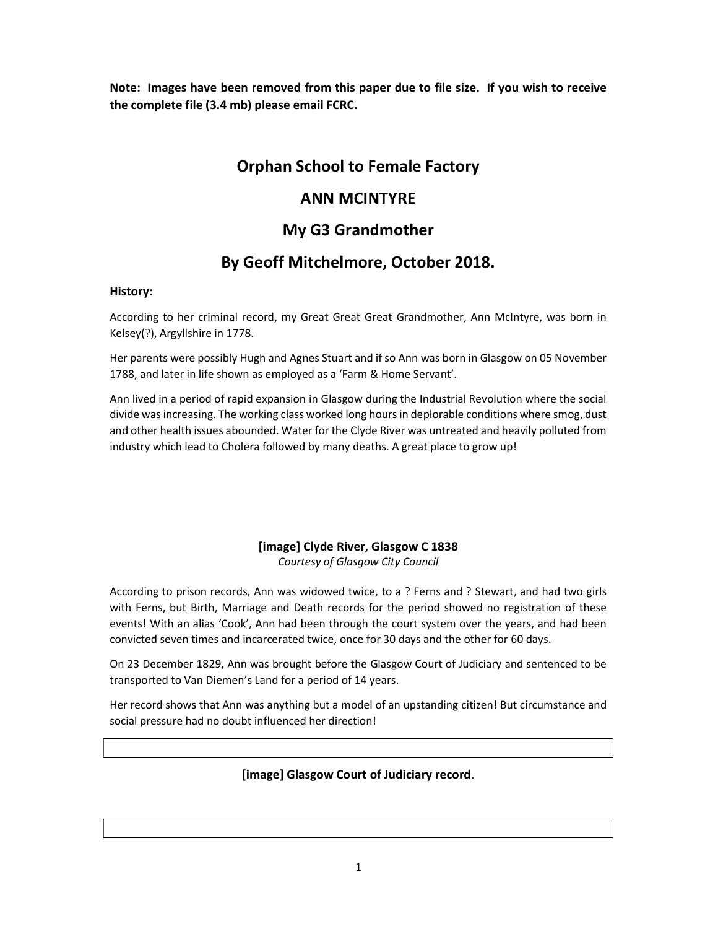Note: Images have been removed from this paper due to file size. If you wish to receive the complete file (3.4 mb) please email FCRC.

# Orphan School to Female Factory

# ANN MCINTYRE

# My G3 Grandmother

# By Geoff Mitchelmore, October 2018.

### History:

According to her criminal record, my Great Great Great Grandmother, Ann McIntyre, was born in Kelsey(?), Argyllshire in 1778.

Her parents were possibly Hugh and Agnes Stuart and if so Ann was born in Glasgow on 05 November 1788, and later in life shown as employed as a 'Farm & Home Servant'.

Ann lived in a period of rapid expansion in Glasgow during the Industrial Revolution where the social divide was increasing. The working class worked long hours in deplorable conditions where smog, dust and other health issues abounded. Water for the Clyde River was untreated and heavily polluted from industry which lead to Cholera followed by many deaths. A great place to grow up!

## [image] Clyde River, Glasgow C 1838 Courtesy of Glasgow City Council

According to prison records, Ann was widowed twice, to a ? Ferns and ? Stewart, and had two girls with Ferns, but Birth, Marriage and Death records for the period showed no registration of these events! With an alias 'Cook', Ann had been through the court system over the years, and had been convicted seven times and incarcerated twice, once for 30 days and the other for 60 days.

On 23 December 1829, Ann was brought before the Glasgow Court of Judiciary and sentenced to be transported to Van Diemen's Land for a period of 14 years.

Her record shows that Ann was anything but a model of an upstanding citizen! But circumstance and social pressure had no doubt influenced her direction!

## [image] Glasgow Court of Judiciary record.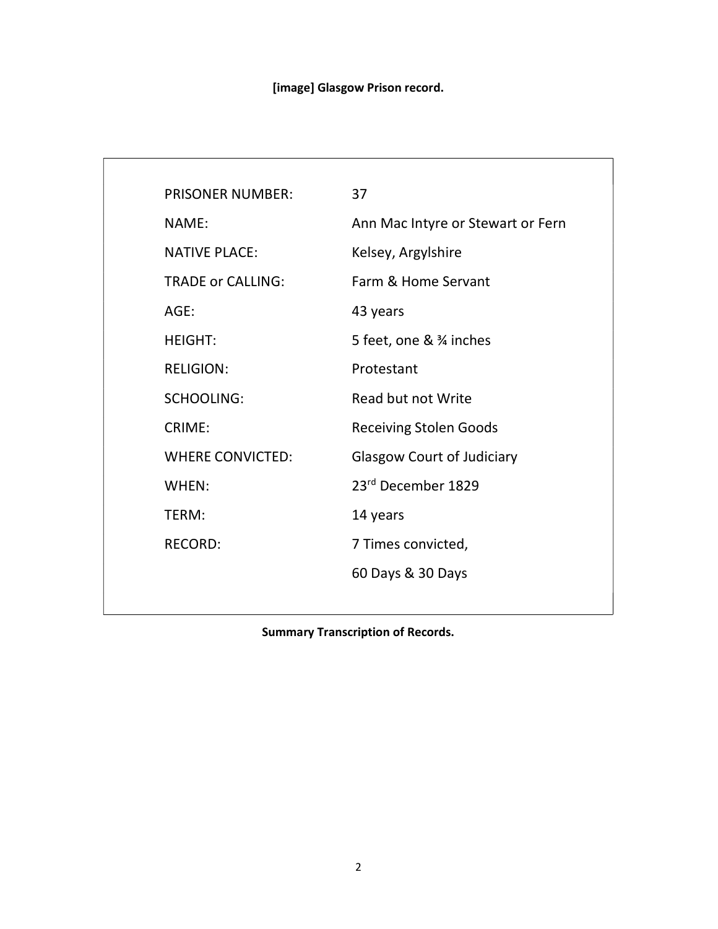# [image] Glasgow Prison record.

| <b>PRISONER NUMBER:</b>  | 37                                |
|--------------------------|-----------------------------------|
| NAME:                    | Ann Mac Intyre or Stewart or Fern |
| <b>NATIVE PLACE:</b>     | Kelsey, Argylshire                |
| <b>TRADE or CALLING:</b> | Farm & Home Servant               |
| AGE:                     | 43 years                          |
| <b>HEIGHT:</b>           | 5 feet, one & 3⁄4 inches          |
| <b>RELIGION:</b>         | Protestant                        |
| <b>SCHOOLING:</b>        | Read but not Write                |
| CRIME:                   | <b>Receiving Stolen Goods</b>     |
| <b>WHERE CONVICTED:</b>  | <b>Glasgow Court of Judiciary</b> |
| WHEN:                    | 23rd December 1829                |
| TERM:                    | 14 years                          |
| <b>RECORD:</b>           | 7 Times convicted,                |
|                          | 60 Days & 30 Days                 |
|                          |                                   |

Summary Transcription of Records.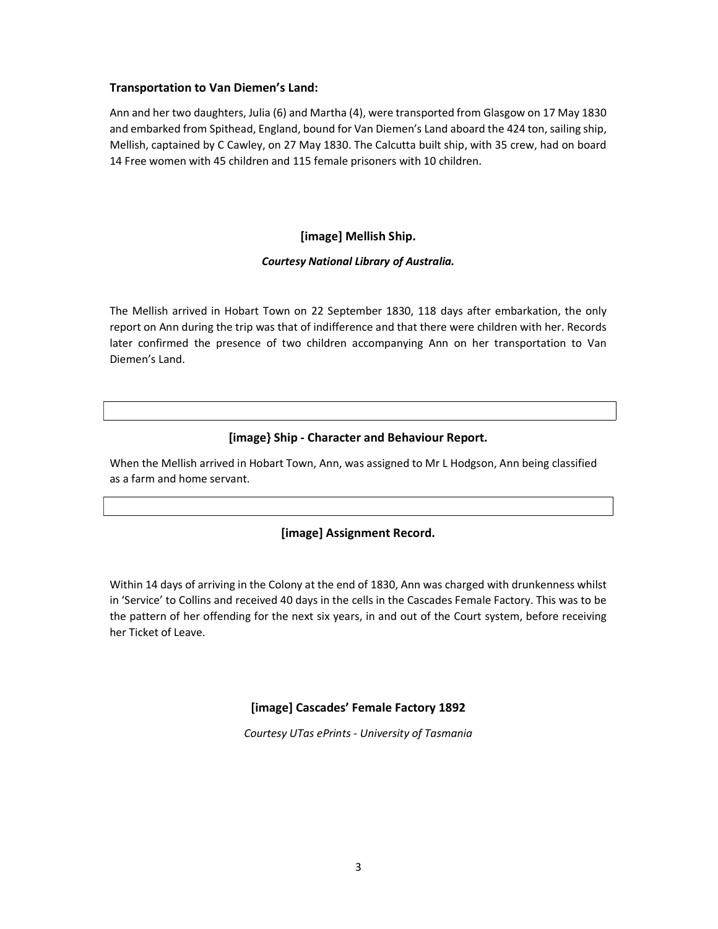### Transportation to Van Diemen's Land:

Ann and her two daughters, Julia (6) and Martha (4), were transported from Glasgow on 17 May 1830 and embarked from Spithead, England, bound for Van Diemen's Land aboard the 424 ton, sailing ship, Mellish, captained by C Cawley, on 27 May 1830. The Calcutta built ship, with 35 crew, had on board 14 Free women with 45 children and 115 female prisoners with 10 children.

## [image] Mellish Ship.

### Courtesy National Library of Australia.

The Mellish arrived in Hobart Town on 22 September 1830, 118 days after embarkation, the only report on Ann during the trip was that of indifference and that there were children with her. Records later confirmed the presence of two children accompanying Ann on her transportation to Van Diemen's Land.

## [image} Ship - Character and Behaviour Report.

When the Mellish arrived in Hobart Town, Ann, was assigned to Mr L Hodgson, Ann being classified as a farm and home servant.

### [image] Assignment Record.

Within 14 days of arriving in the Colony at the end of 1830, Ann was charged with drunkenness whilst in 'Service' to Collins and received 40 days in the cells in the Cascades Female Factory. This was to be the pattern of her offending for the next six years, in and out of the Court system, before receiving her Ticket of Leave.

### [image] Cascades' Female Factory 1892

Courtesy UTas ePrints - University of Tasmania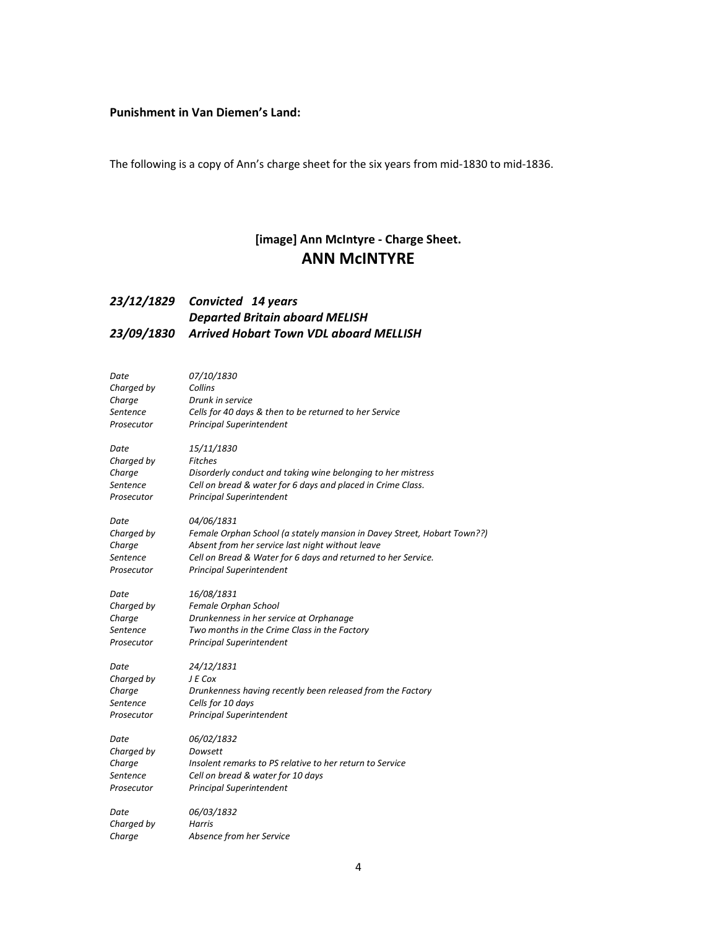### Punishment in Van Diemen's Land:

The following is a copy of Ann's charge sheet for the six years from mid-1830 to mid-1836.

## [image] Ann McIntyre - Charge Sheet. ANN McINTYRE

## 23/12/1829 Convicted 14 years Departed Britain aboard MELISH 23/09/1830 Arrived Hobart Town VDL aboard MELLISH

| Date       | 07/10/1830                                                              |
|------------|-------------------------------------------------------------------------|
| Charged by | Collins                                                                 |
| Charge     | Drunk in service                                                        |
| Sentence   | Cells for 40 days & then to be returned to her Service                  |
| Prosecutor | <b>Principal Superintendent</b>                                         |
| Date       | 15/11/1830                                                              |
| Charged by | <b>Fitches</b>                                                          |
| Charge     | Disorderly conduct and taking wine belonging to her mistress            |
| Sentence   | Cell on bread & water for 6 days and placed in Crime Class.             |
| Prosecutor | <b>Principal Superintendent</b>                                         |
| Date       | 04/06/1831                                                              |
| Charged by | Female Orphan School (a stately mansion in Davey Street, Hobart Town??) |
| Charge     | Absent from her service last night without leave                        |
| Sentence   | Cell on Bread & Water for 6 days and returned to her Service.           |
| Prosecutor | <b>Principal Superintendent</b>                                         |
| Date       | 16/08/1831                                                              |
| Charged by | Female Orphan School                                                    |
| Charge     | Drunkenness in her service at Orphanage                                 |
| Sentence   | Two months in the Crime Class in the Factory                            |
| Prosecutor | <b>Principal Superintendent</b>                                         |
| Date       | 24/12/1831                                                              |
| Charged by | J E Cox                                                                 |
| Charge     | Drunkenness having recently been released from the Factory              |
| Sentence   | Cells for 10 days                                                       |
| Prosecutor | <b>Principal Superintendent</b>                                         |
| Date       | 06/02/1832                                                              |
| Charged by | Dowsett                                                                 |
| Charge     | Insolent remarks to PS relative to her return to Service                |
| Sentence   | Cell on bread & water for 10 days                                       |
| Prosecutor | <b>Principal Superintendent</b>                                         |
| Date       | 06/03/1832                                                              |
| Charged by | <b>Harris</b>                                                           |
| Charge     | Absence from her Service                                                |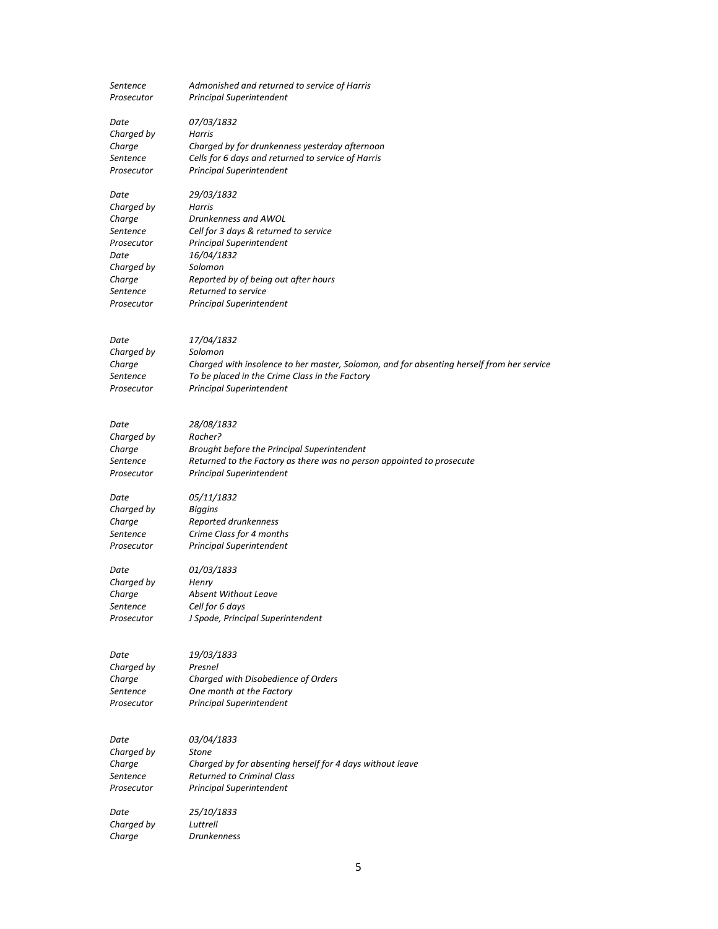| Sentence<br>Prosecutor | Admonished and returned to service of Harris<br><b>Principal Superintendent</b>           |
|------------------------|-------------------------------------------------------------------------------------------|
| Date<br>Charged by     | 07/03/1832<br>Harris                                                                      |
| Charge                 | Charged by for drunkenness yesterday afternoon                                            |
| Sentence               | Cells for 6 days and returned to service of Harris                                        |
| Prosecutor             | Principal Superintendent                                                                  |
| Date                   | 29/03/1832                                                                                |
| Charged by             | Harris                                                                                    |
| Charge                 | Drunkenness and AWOL                                                                      |
| Sentence<br>Prosecutor | Cell for 3 days & returned to service<br><b>Principal Superintendent</b>                  |
| Date                   | 16/04/1832                                                                                |
| Charged by             | Solomon                                                                                   |
| Charge                 | Reported by of being out after hours<br>Returned to service                               |
| Sentence<br>Prosecutor | <b>Principal Superintendent</b>                                                           |
|                        |                                                                                           |
| Date                   | 17/04/1832                                                                                |
| Charged by             | Solomon                                                                                   |
| Charge                 | Charged with insolence to her master, Solomon, and for absenting herself from her service |
| Sentence               | To be placed in the Crime Class in the Factory                                            |
| Prosecutor             | <b>Principal Superintendent</b>                                                           |
|                        |                                                                                           |
| Date                   | 28/08/1832                                                                                |
| Charged by<br>Charge   | Rocher?<br>Brought before the Principal Superintendent                                    |
| Sentence               | Returned to the Factory as there was no person appointed to prosecute                     |
| Prosecutor             | Principal Superintendent                                                                  |
| Date                   | 05/11/1832                                                                                |
| Charged by             | <b>Biggins</b>                                                                            |
| Charge                 | Reported drunkenness                                                                      |
| Sentence<br>Prosecutor | Crime Class for 4 months<br>Principal Superintendent                                      |
|                        |                                                                                           |
| Date                   | 01/03/1833                                                                                |
| Charged by<br>Charge   | Henry<br><b>Absent Without Leave</b>                                                      |
| Sentence               | Cell for 6 days                                                                           |
| Prosecutor             | J Spode, Principal Superintendent                                                         |
|                        |                                                                                           |
| Date                   | 19/03/1833                                                                                |
| Charged by             | Presnel                                                                                   |
| Charge                 | Charged with Disobedience of Orders                                                       |
| Sentence<br>Prosecutor | One month at the Factory<br><b>Principal Superintendent</b>                               |
|                        |                                                                                           |
| Date                   | 03/04/1833                                                                                |
| Charged by             | <b>Stone</b>                                                                              |
| Charge                 | Charged by for absenting herself for 4 days without leave                                 |
| Sentence               | <b>Returned to Criminal Class</b>                                                         |
| Prosecutor             | <b>Principal Superintendent</b>                                                           |
| Date                   | 25/10/1833                                                                                |
| Charged by             | Luttrell                                                                                  |
| Charge                 | <b>Drunkenness</b>                                                                        |

5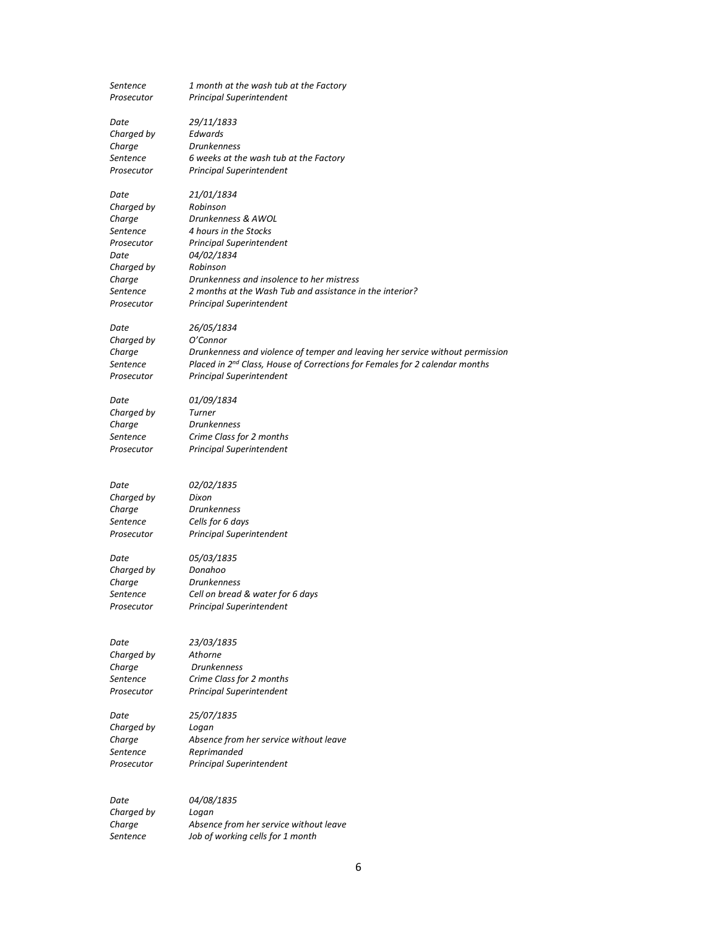| Sentence<br>Prosecutor | 1 month at the wash tub at the Factory<br>Principal Superintendent            |
|------------------------|-------------------------------------------------------------------------------|
| Date                   | 29/11/1833                                                                    |
| Charged by             | Edwards                                                                       |
| Charge                 | <b>Drunkenness</b>                                                            |
| Sentence               | 6 weeks at the wash tub at the Factory                                        |
| Prosecutor             | Principal Superintendent                                                      |
| Date                   | 21/01/1834                                                                    |
| Charged by             | Robinson                                                                      |
| Charge                 | Drunkenness & AWOL                                                            |
| Sentence               | 4 hours in the Stocks                                                         |
| Prosecutor             | Principal Superintendent                                                      |
| Date                   | <i>04/02/1834</i>                                                             |
| Charged by             | Robinson                                                                      |
| Charge                 | Drunkenness and insolence to her mistress                                     |
| Sentence               | 2 months at the Wash Tub and assistance in the interior?                      |
| Prosecutor             | <b>Principal Superintendent</b>                                               |
| Date                   | 26/05/1834                                                                    |
| Charged by             | O'Connor                                                                      |
| Charge                 | Drunkenness and violence of temper and leaving her service without permission |
| Sentence               | Placed in 2nd Class, House of Corrections for Females for 2 calendar months   |
| Prosecutor             | <b>Principal Superintendent</b>                                               |
| Date                   | 01/09/1834                                                                    |
| Charged by             | Turner                                                                        |
| Charge                 | <b>Drunkenness</b>                                                            |
| Sentence               | Crime Class for 2 months                                                      |
| Prosecutor             | <b>Principal Superintendent</b>                                               |
| Date                   | 02/02/1835                                                                    |
| Charged by             | Dixon                                                                         |
| Charge                 | Drunkenness                                                                   |
| Sentence               | Cells for 6 days                                                              |
| Prosecutor             | <b>Principal Superintendent</b>                                               |
| Date                   | 05/03/1835                                                                    |
| Charged by             | Donahoo                                                                       |
| Charge                 | <b>Drunkenness</b>                                                            |
| Sentence               | Cell on bread & water for 6 days                                              |
| Prosecutor             | Principal Superintendent                                                      |
|                        |                                                                               |
| Date                   | 23/03/1835                                                                    |
| Charged by             | Athorne                                                                       |
| Charge<br>Sentence     | <b>Drunkenness</b><br>Crime Class for 2 months                                |
| Prosecutor             | <b>Principal Superintendent</b>                                               |
|                        |                                                                               |
| Date                   | 25/07/1835                                                                    |
| Charged by             | Logan                                                                         |
| Charge                 | Absence from her service without leave                                        |
| Sentence               | Reprimanded                                                                   |
| Prosecutor             | <b>Principal Superintendent</b>                                               |
| Date                   | 04/08/1835                                                                    |
| Charged by             | Logan                                                                         |
| Charge                 | Absence from her service without leave                                        |

6

Sentence Job of working cells for 1 month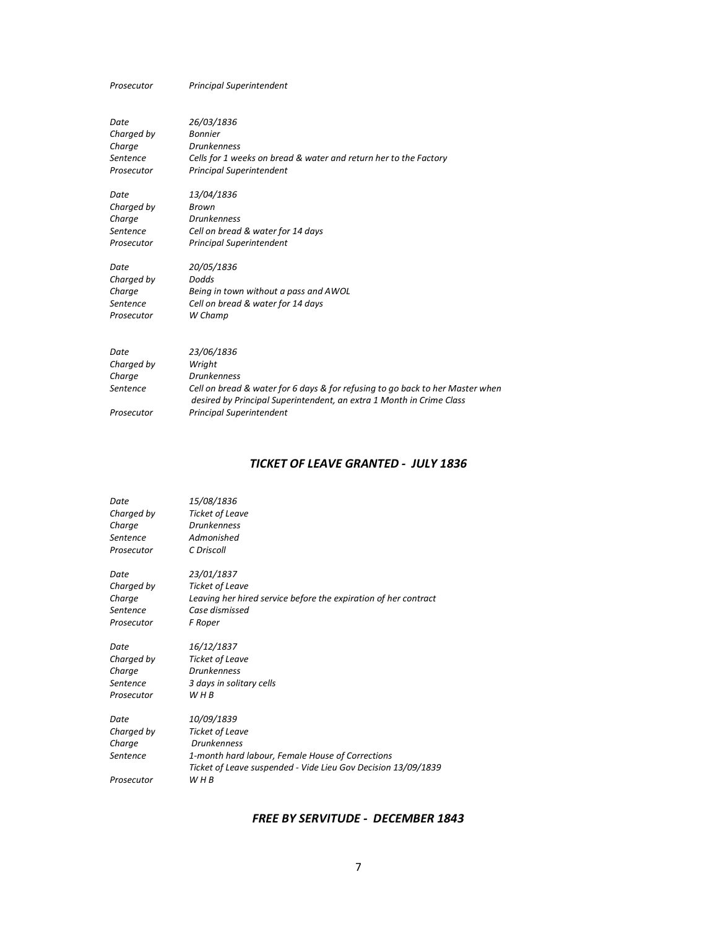Prosecutor Principal Superintendent

| Date<br>Charged by<br>Charge<br>Sentence<br>Prosecutor | 26/03/1836<br><b>Bonnier</b><br><b>Drunkenness</b><br>Cells for 1 weeks on bread & water and return her to the Factory<br><b>Principal Superintendent</b> |
|--------------------------------------------------------|-----------------------------------------------------------------------------------------------------------------------------------------------------------|
| Date                                                   | 13/04/1836                                                                                                                                                |
| Charged by                                             | Brown                                                                                                                                                     |
| Charge                                                 | <b>Drunkenness</b>                                                                                                                                        |
| Sentence                                               | Cell on bread & water for 14 days                                                                                                                         |
| Prosecutor                                             | <b>Principal Superintendent</b>                                                                                                                           |
| Date                                                   | 20/05/1836                                                                                                                                                |
| Charged by                                             | Dodds                                                                                                                                                     |
| Charge                                                 | Being in town without a pass and AWOL                                                                                                                     |
| Sentence                                               | Cell on bread & water for 14 days                                                                                                                         |
| Prosecutor                                             | W Champ                                                                                                                                                   |
| Date                                                   | 23/06/1836                                                                                                                                                |
| Charged by                                             | Wright                                                                                                                                                    |
| Charge                                                 | <b>Drunkenness</b>                                                                                                                                        |
| Sentence                                               | Cell on bread & water for 6 days & for refusing to go back to her Master when<br>desired by Principal Superintendent, an extra 1 Month in Crime Class     |
| Prosecutor                                             | <b>Principal Superintendent</b>                                                                                                                           |

### TICKET OF LEAVE GRANTED - JULY 1836

| Date       | 15/08/1836                                                                                                        |
|------------|-------------------------------------------------------------------------------------------------------------------|
| Charged by | <b>Ticket of Leave</b>                                                                                            |
| Charge     | <b>Drunkenness</b>                                                                                                |
| Sentence   | Admonished                                                                                                        |
| Prosecutor | C Driscoll                                                                                                        |
| Date       | 23/01/1837                                                                                                        |
| Charged by | <b>Ticket of Leave</b>                                                                                            |
| Charge     | Leaving her hired service before the expiration of her contract                                                   |
| Sentence   | Case dismissed                                                                                                    |
| Prosecutor | F Roper                                                                                                           |
| Date       | 16/12/1837                                                                                                        |
| Charged by | <b>Ticket of Leave</b>                                                                                            |
| Charge     | <b>Drunkenness</b>                                                                                                |
| Sentence   | 3 days in solitary cells                                                                                          |
| Prosecutor | W H B                                                                                                             |
| Date       | 10/09/1839                                                                                                        |
| Charged by | <b>Ticket of Leave</b>                                                                                            |
| Charge     | <b>Drunkenness</b>                                                                                                |
| Sentence   | 1-month hard labour, Female House of Corrections<br>Ticket of Leave suspended - Vide Lieu Gov Decision 13/09/1839 |
| Prosecutor | W H B                                                                                                             |
|            |                                                                                                                   |

### FREE BY SERVITUDE - DECEMBER 1843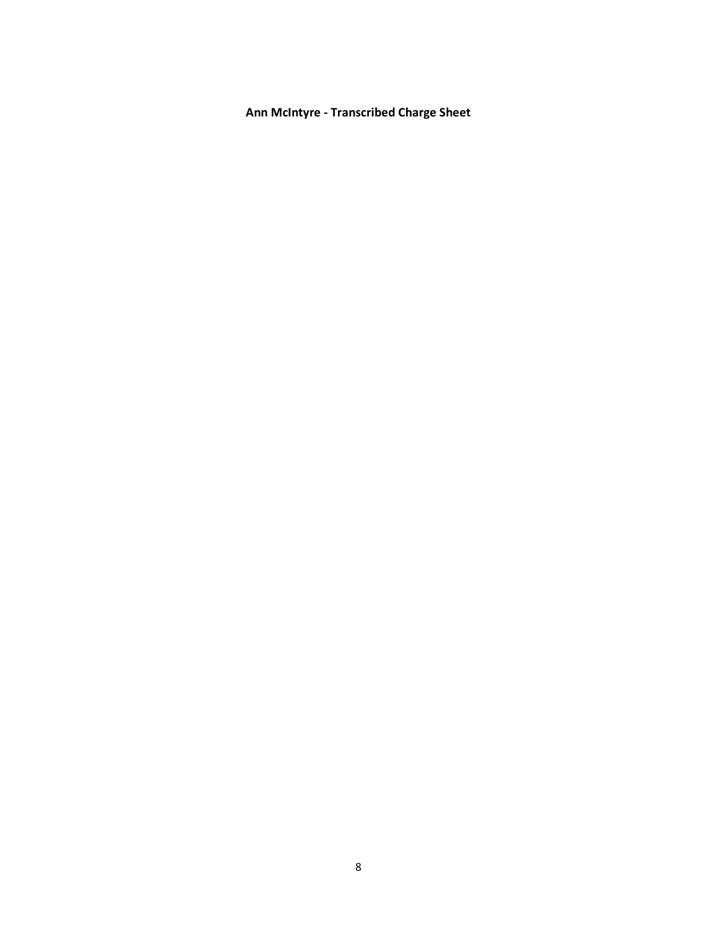Ann McIntyre - Transcribed Charge Sheet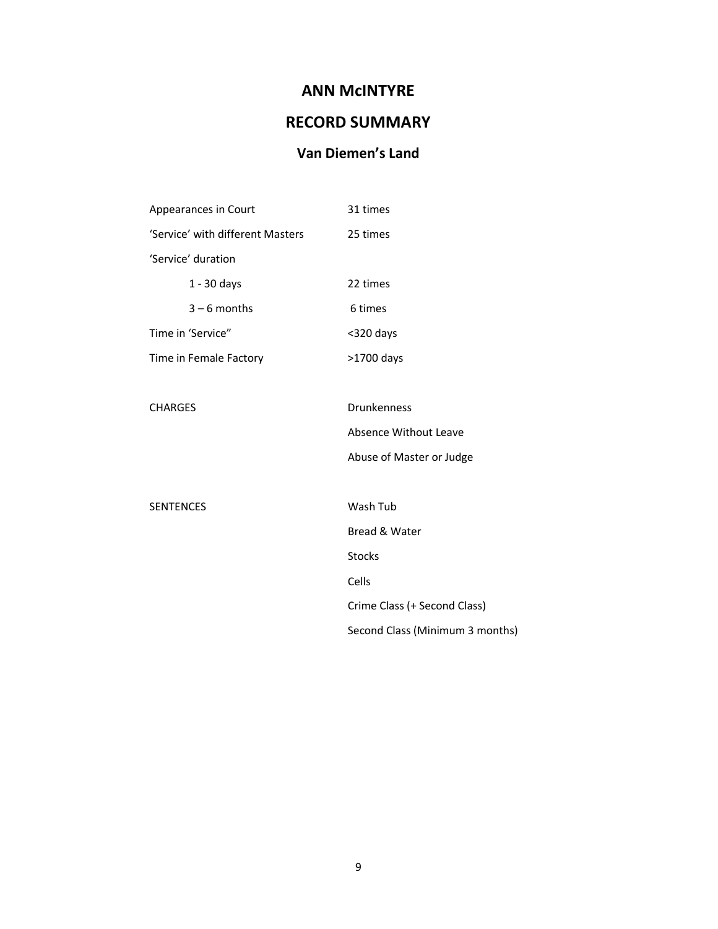# ANN McINTYRE

# RECORD SUMMARY

# Van Diemen's Land

| Appearances in Court             | 31 times                        |
|----------------------------------|---------------------------------|
| 'Service' with different Masters | 25 times                        |
| 'Service' duration               |                                 |
| $1 - 30$ days                    | 22 times                        |
| $3 - 6$ months                   | 6 times                         |
| Time in 'Service"                | <320 days                       |
| Time in Female Factory           | >1700 days                      |
|                                  |                                 |
| <b>CHARGES</b>                   | Drunkenness                     |
|                                  | Absence Without Leave           |
|                                  | Abuse of Master or Judge        |
|                                  |                                 |
| <b>SENTENCES</b>                 | Wash Tub                        |
|                                  | Bread & Water                   |
|                                  | <b>Stocks</b>                   |
|                                  | Cells                           |
|                                  | Crime Class (+ Second Class)    |
|                                  | Second Class (Minimum 3 months) |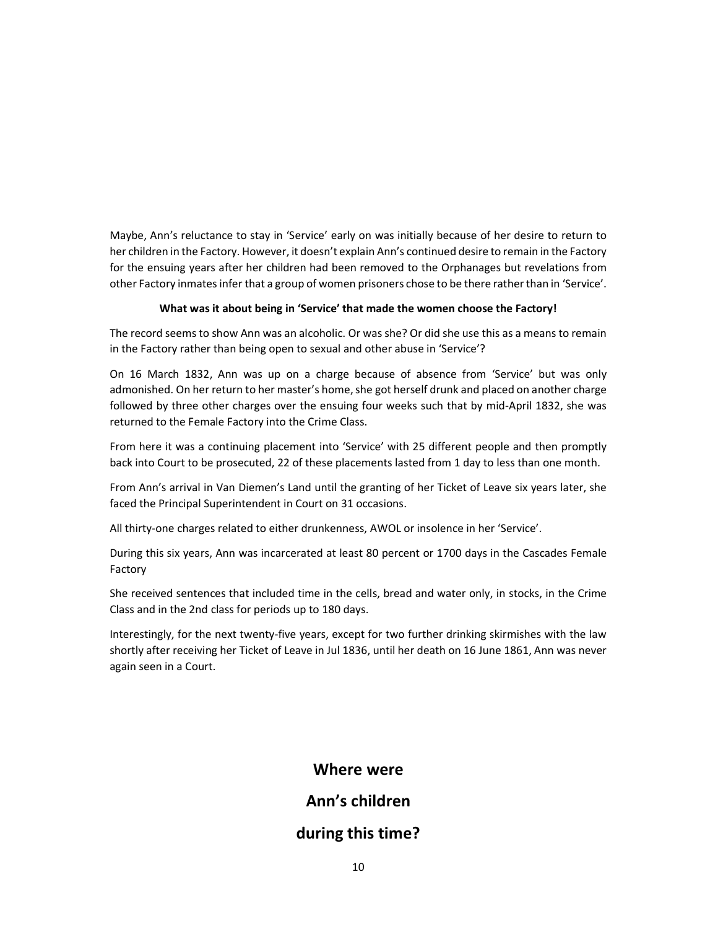Maybe, Ann's reluctance to stay in 'Service' early on was initially because of her desire to return to her children in the Factory. However, it doesn't explain Ann's continued desire to remain in the Factory for the ensuing years after her children had been removed to the Orphanages but revelations from other Factory inmates infer that a group of women prisoners chose to be there rather than in 'Service'.

#### What was it about being in 'Service' that made the women choose the Factory!

The record seems to show Ann was an alcoholic. Or was she? Or did she use this as a means to remain in the Factory rather than being open to sexual and other abuse in 'Service'?

On 16 March 1832, Ann was up on a charge because of absence from 'Service' but was only admonished. On her return to her master's home, she got herself drunk and placed on another charge followed by three other charges over the ensuing four weeks such that by mid-April 1832, she was returned to the Female Factory into the Crime Class.

From here it was a continuing placement into 'Service' with 25 different people and then promptly back into Court to be prosecuted, 22 of these placements lasted from 1 day to less than one month.

From Ann's arrival in Van Diemen's Land until the granting of her Ticket of Leave six years later, she faced the Principal Superintendent in Court on 31 occasions.

All thirty-one charges related to either drunkenness, AWOL or insolence in her 'Service'.

During this six years, Ann was incarcerated at least 80 percent or 1700 days in the Cascades Female Factory

She received sentences that included time in the cells, bread and water only, in stocks, in the Crime Class and in the 2nd class for periods up to 180 days.

Interestingly, for the next twenty-five years, except for two further drinking skirmishes with the law shortly after receiving her Ticket of Leave in Jul 1836, until her death on 16 June 1861, Ann was never again seen in a Court.

## Where were

## Ann's children

## during this time?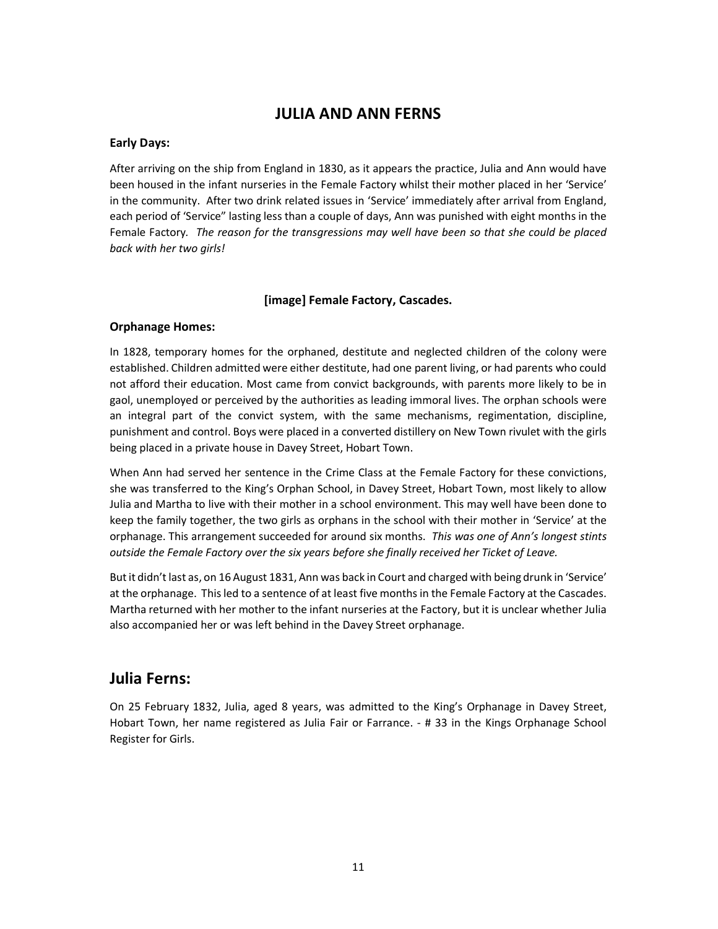## JULIA AND ANN FERNS

### Early Days:

After arriving on the ship from England in 1830, as it appears the practice, Julia and Ann would have been housed in the infant nurseries in the Female Factory whilst their mother placed in her 'Service' in the community. After two drink related issues in 'Service' immediately after arrival from England, each period of 'Service" lasting less than a couple of days, Ann was punished with eight months in the Female Factory. The reason for the transgressions may well have been so that she could be placed back with her two girls!

### [image] Female Factory, Cascades.

### Orphanage Homes:

In 1828, temporary homes for the orphaned, destitute and neglected children of the colony were established. Children admitted were either destitute, had one parent living, or had parents who could not afford their education. Most came from convict backgrounds, with parents more likely to be in gaol, unemployed or perceived by the authorities as leading immoral lives. The orphan schools were an integral part of the convict system, with the same mechanisms, regimentation, discipline, punishment and control. Boys were placed in a converted distillery on New Town rivulet with the girls being placed in a private house in Davey Street, Hobart Town.

When Ann had served her sentence in the Crime Class at the Female Factory for these convictions, she was transferred to the King's Orphan School, in Davey Street, Hobart Town, most likely to allow Julia and Martha to live with their mother in a school environment. This may well have been done to keep the family together, the two girls as orphans in the school with their mother in 'Service' at the orphanage. This arrangement succeeded for around six months. This was one of Ann's longest stints outside the Female Factory over the six years before she finally received her Ticket of Leave.

But it didn't last as, on 16 August 1831, Ann was back in Court and charged with being drunk in 'Service' at the orphanage. This led to a sentence of at least five months in the Female Factory at the Cascades. Martha returned with her mother to the infant nurseries at the Factory, but it is unclear whether Julia also accompanied her or was left behind in the Davey Street orphanage.

## Julia Ferns:

On 25 February 1832, Julia, aged 8 years, was admitted to the King's Orphanage in Davey Street, Hobart Town, her name registered as Julia Fair or Farrance. - # 33 in the Kings Orphanage School Register for Girls.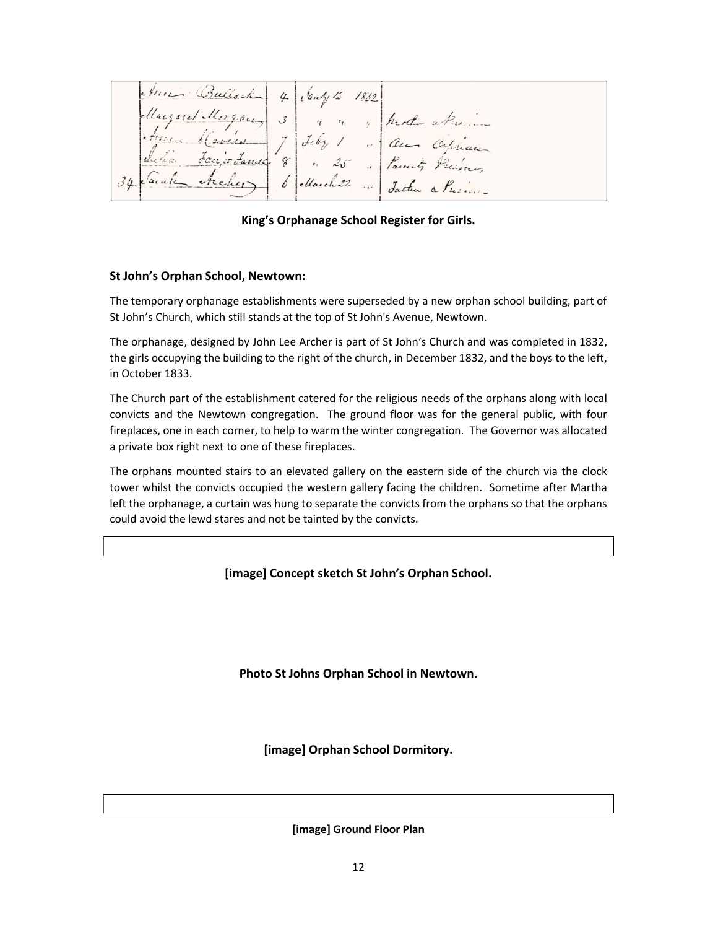America Rubbach 4 (bout) 12 1832<br>August Morgan 3 1 10 1832 Mode a Premier

King's Orphanage School Register for Girls.

### St John's Orphan School, Newtown:

The temporary orphanage establishments were superseded by a new orphan school building, part of St John's Church, which still stands at the top of St John's Avenue, Newtown.

The orphanage, designed by John Lee Archer is part of St John's Church and was completed in 1832, the girls occupying the building to the right of the church, in December 1832, and the boys to the left, in October 1833.

The Church part of the establishment catered for the religious needs of the orphans along with local convicts and the Newtown congregation. The ground floor was for the general public, with four fireplaces, one in each corner, to help to warm the winter congregation. The Governor was allocated a private box right next to one of these fireplaces.

The orphans mounted stairs to an elevated gallery on the eastern side of the church via the clock tower whilst the convicts occupied the western gallery facing the children. Sometime after Martha left the orphanage, a curtain was hung to separate the convicts from the orphans so that the orphans could avoid the lewd stares and not be tainted by the convicts.

[image] Concept sketch St John's Orphan School.

Photo St Johns Orphan School in Newtown.

[image] Orphan School Dormitory.

[image] Ground Floor Plan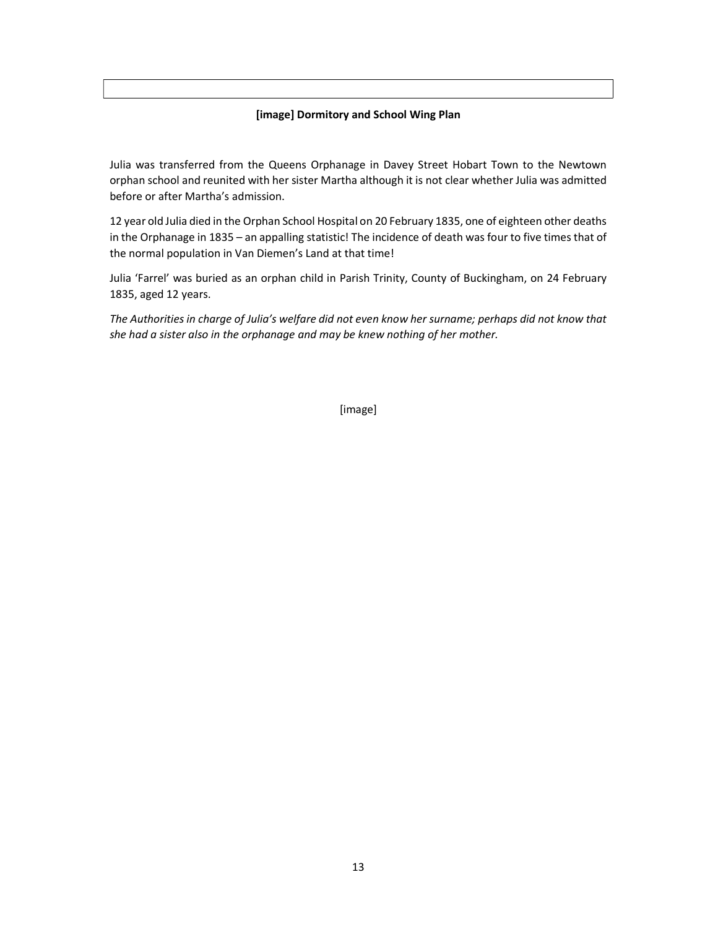### [image] Dormitory and School Wing Plan

Julia was transferred from the Queens Orphanage in Davey Street Hobart Town to the Newtown orphan school and reunited with her sister Martha although it is not clear whether Julia was admitted before or after Martha's admission.

12 year old Julia died in the Orphan School Hospital on 20 February 1835, one of eighteen other deaths in the Orphanage in 1835 – an appalling statistic! The incidence of death was four to five times that of the normal population in Van Diemen's Land at that time!

Julia 'Farrel' was buried as an orphan child in Parish Trinity, County of Buckingham, on 24 February 1835, aged 12 years.

The Authorities in charge of Julia's welfare did not even know her surname; perhaps did not know that she had a sister also in the orphanage and may be knew nothing of her mother.

[image]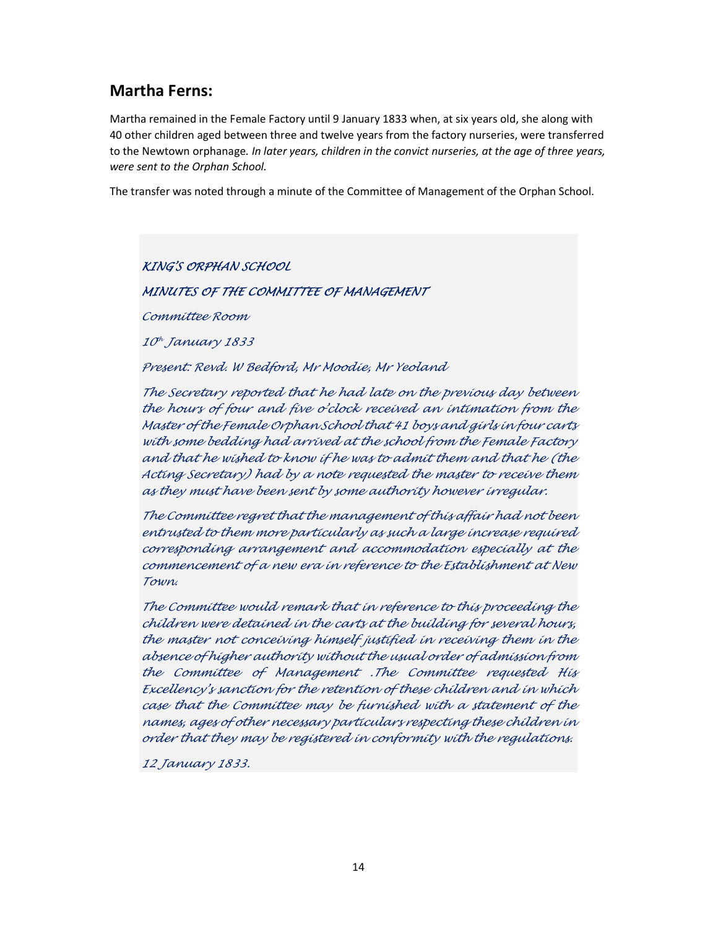## Martha Ferns:

Martha remained in the Female Factory until 9 January 1833 when, at six years old, she along with 40 other children aged between three and twelve years from the factory nurseries, were transferred to the Newtown orphanage. In later years, children in the convict nurseries, at the age of three years, were sent to the Orphan School.

The transfer was noted through a minute of the Committee of Management of the Orphan School.

KING'S ORPHAN SCHOOL

## MINUTES OF THE COMMITTEE OF MANAGEMENT

Committee Room

10<sup>h</sup> January 1833

Present: Revd. W Bedford, Mr Moodie, Mr Yeoland

The Secretary reported that he had late on the previous day between the hours of four and five o'clock received an intimation from the Master of the Female Orphan School that 41 boys and girls in four carts with some bedding had arrived at the school from the Female Factory and that he wished to know if he was to admit them and that he (the Acting Secretary) had by a note requested the master to receive them as they must have been sent by some authority however irregular.

The Committee regret that the management of this affair had not been entrusted to them more particularly as such a large increase required corresponding arrangement and accommodation especially at the commencement of a new era in reference to the Establishment at New Town.

The Committee would remark that in reference to this proceeding the children were detained in the carts at the building for several hours, the master not conceiving himself justified in receiving them in the absence of higher authority without the usual order of admission from the Committee of Management .The Committee requested His Excellency's sanction for the retention of these children and in which case that the Committee may be furnished with a statement of the names, ages of other necessary particulars respecting these children in order that they may be registered in conformity with the regulations.

12 January 1833.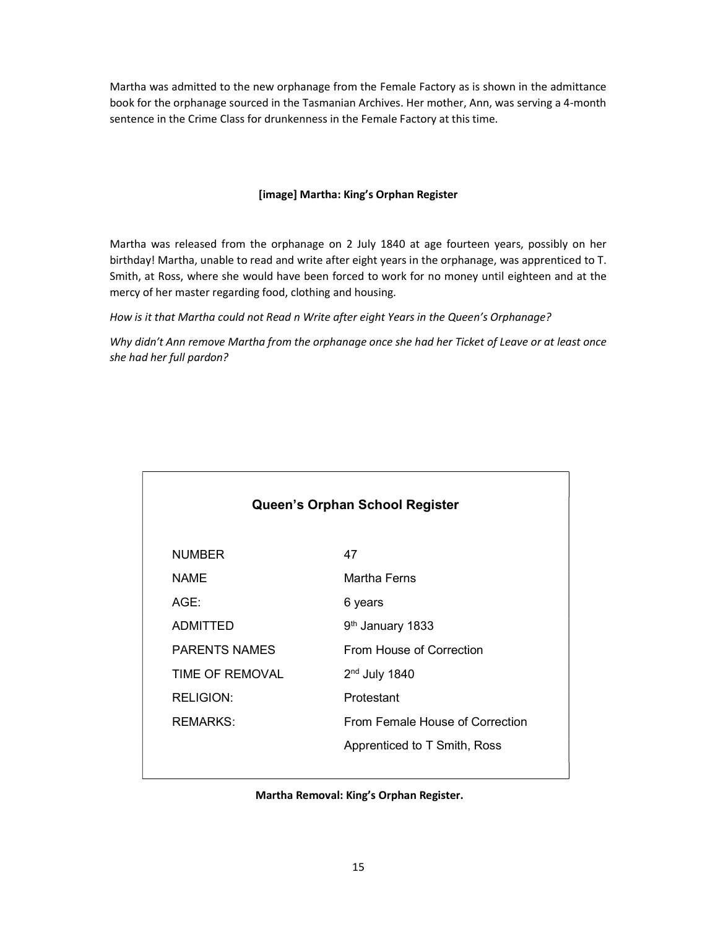Martha was admitted to the new orphanage from the Female Factory as is shown in the admittance book for the orphanage sourced in the Tasmanian Archives. Her mother, Ann, was serving a 4-month sentence in the Crime Class for drunkenness in the Female Factory at this time.

### [image] Martha: King's Orphan Register

Martha was released from the orphanage on 2 July 1840 at age fourteen years, possibly on her birthday! Martha, unable to read and write after eight years in the orphanage, was apprenticed to T. Smith, at Ross, where she would have been forced to work for no money until eighteen and at the mercy of her master regarding food, clothing and housing.

How is it that Martha could not Read n Write after eight Years in the Queen's Orphanage?

Why didn't Ann remove Martha from the orphanage once she had her Ticket of Leave or at least once she had her full pardon?

| Queen's Orphan School Register |                      |                                 |
|--------------------------------|----------------------|---------------------------------|
|                                | <b>NUMBER</b>        | 47                              |
|                                | <b>NAME</b>          | <b>Martha Ferns</b>             |
|                                | AGE:                 | 6 years                         |
|                                | ADMITTED             | 9 <sup>th</sup> January 1833    |
|                                | <b>PARENTS NAMES</b> | From House of Correction        |
|                                | TIME OF REMOVAL      | $2nd$ July 1840                 |
|                                | <b>RELIGION:</b>     | Protestant                      |
|                                | REMARKS:             | From Female House of Correction |
|                                |                      | Apprenticed to T Smith, Ross    |
|                                |                      |                                 |

#### Martha Removal: King's Orphan Register.